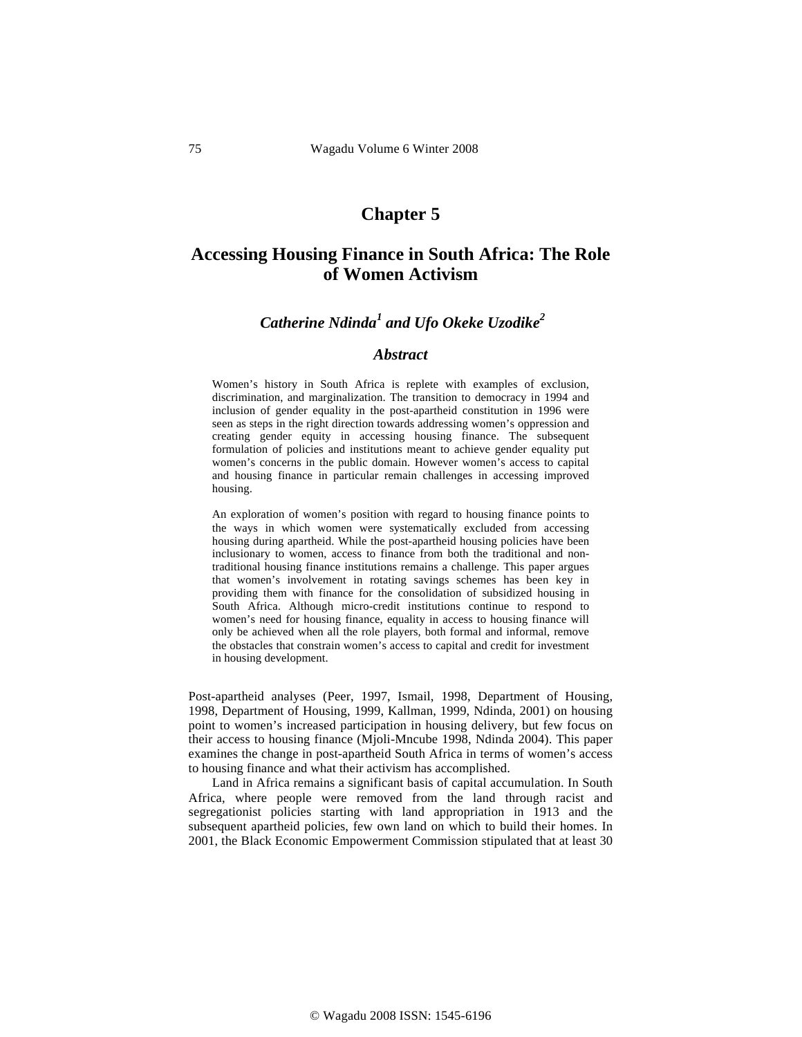# **Chapter 5**

# **Accessing Housing Finance in South Africa: The Role of Women Activism**

# *Catherine Ndinda<sup>1</sup> and Ufo Okeke Uzodike*<sup>2</sup>

# *Abstract*

Women's history in South Africa is replete with examples of exclusion, discrimination, and marginalization. The transition to democracy in 1994 and inclusion of gender equality in the post-apartheid constitution in 1996 were seen as steps in the right direction towards addressing women's oppression and creating gender equity in accessing housing finance. The subsequent formulation of policies and institutions meant to achieve gender equality put women's concerns in the public domain. However women's access to capital and housing finance in particular remain challenges in accessing improved housing.

An exploration of women's position with regard to housing finance points to the ways in which women were systematically excluded from accessing housing during apartheid. While the post-apartheid housing policies have been inclusionary to women, access to finance from both the traditional and nontraditional housing finance institutions remains a challenge. This paper argues that women's involvement in rotating savings schemes has been key in providing them with finance for the consolidation of subsidized housing in South Africa. Although micro-credit institutions continue to respond to women's need for housing finance, equality in access to housing finance will only be achieved when all the role players, both formal and informal, remove the obstacles that constrain women's access to capital and credit for investment in housing development.

Post-apartheid analyses (Peer, 1997, Ismail, 1998, Department of Housing, 1998, Department of Housing, 1999, Kallman, 1999, Ndinda, 2001) on housing point to women's increased participation in housing delivery, but few focus on their access to housing finance (Mjoli-Mncube 1998, Ndinda 2004). This paper examines the change in post-apartheid South Africa in terms of women's access to housing finance and what their activism has accomplished.

Land in Africa remains a significant basis of capital accumulation. In South Africa, where people were removed from the land through racist and segregationist policies starting with land appropriation in 1913 and the subsequent apartheid policies, few own land on which to build their homes. In 2001, the Black Economic Empowerment Commission stipulated that at least 30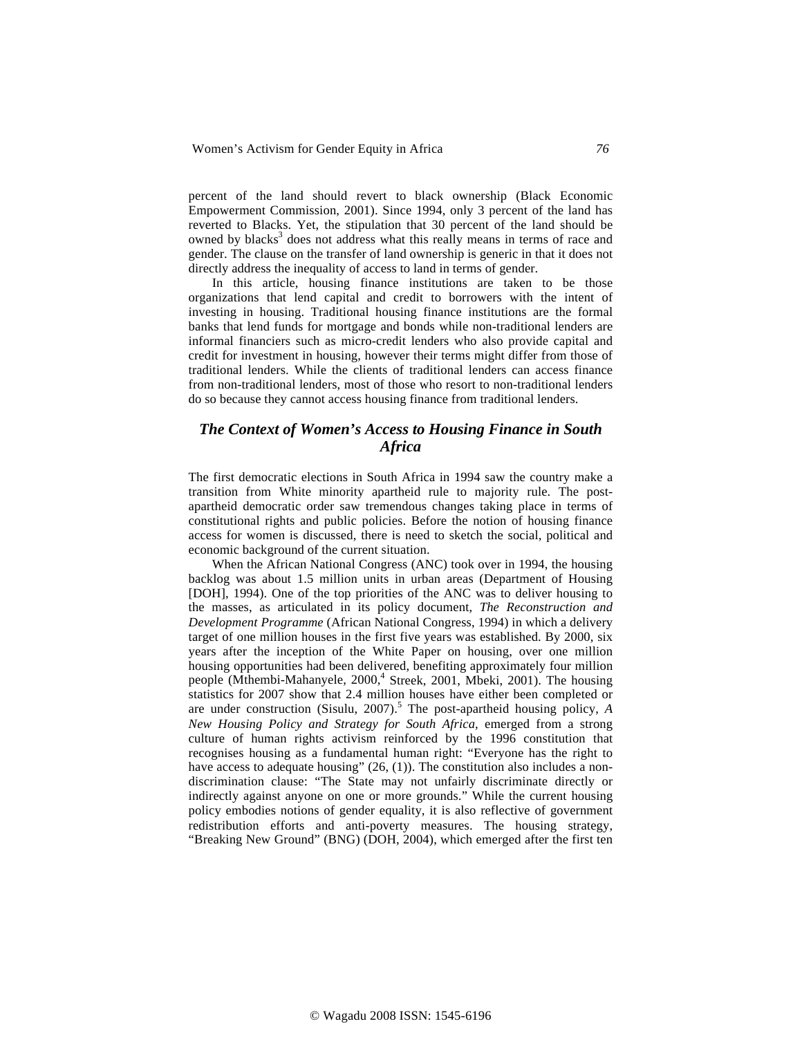percent of the land should revert to black ownership (Black Economic Empowerment Commission, 2001). Since 1994, only 3 percent of the land has reverted to Blacks. Yet, the stipulation that 30 percent of the land should be owned by blacks<sup>3</sup> does not address what this really means in terms of race and gender. The clause on the transfer of land ownership is generic in that it does not directly address the inequality of access to land in terms of gender.

In this article, housing finance institutions are taken to be those organizations that lend capital and credit to borrowers with the intent of investing in housing. Traditional housing finance institutions are the formal banks that lend funds for mortgage and bonds while non-traditional lenders are informal financiers such as micro-credit lenders who also provide capital and credit for investment in housing, however their terms might differ from those of traditional lenders. While the clients of traditional lenders can access finance from non-traditional lenders, most of those who resort to non-traditional lenders do so because they cannot access housing finance from traditional lenders.

# *The Context of Women's Access to Housing Finance in South Africa*

The first democratic elections in South Africa in 1994 saw the country make a transition from White minority apartheid rule to majority rule. The postapartheid democratic order saw tremendous changes taking place in terms of constitutional rights and public policies. Before the notion of housing finance access for women is discussed, there is need to sketch the social, political and economic background of the current situation.

When the African National Congress (ANC) took over in 1994, the housing backlog was about 1.5 million units in urban areas (Department of Housing [DOH], 1994). One of the top priorities of the ANC was to deliver housing to the masses, as articulated in its policy document, *The Reconstruction and Development Programme* (African National Congress, 1994) in which a delivery target of one million houses in the first five years was established. By 2000, six years after the inception of the White Paper on housing, over one million housing opportunities had been delivered, benefiting approximately four million people (Mthembi-Mahanyele, 2000,<sup>4</sup> Streek, 2001, Mbeki, 2001). The housing statistics for 2007 show that 2.4 million houses have either been completed or are under construction (Sisulu, 2007).<sup>5</sup> The post-apartheid housing policy,  $\overrightarrow{A}$ *New Housing Policy and Strategy for South Africa,* emerged from a strong culture of human rights activism reinforced by the 1996 constitution that recognises housing as a fundamental human right: "Everyone has the right to have access to adequate housing" (26, (1)). The constitution also includes a nondiscrimination clause: "The State may not unfairly discriminate directly or indirectly against anyone on one or more grounds." While the current housing policy embodies notions of gender equality, it is also reflective of government redistribution efforts and anti-poverty measures. The housing strategy, "Breaking New Ground" (BNG) (DOH, 2004), which emerged after the first ten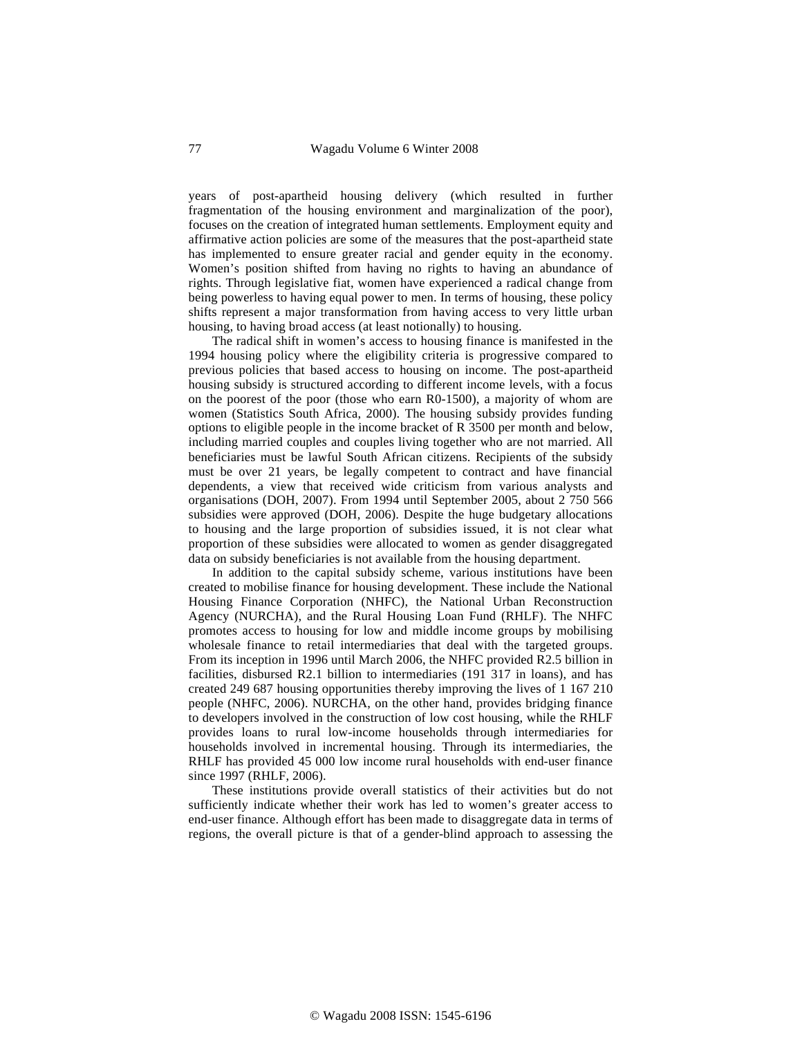years of post-apartheid housing delivery (which resulted in further fragmentation of the housing environment and marginalization of the poor), focuses on the creation of integrated human settlements. Employment equity and affirmative action policies are some of the measures that the post-apartheid state has implemented to ensure greater racial and gender equity in the economy. Women's position shifted from having no rights to having an abundance of rights. Through legislative fiat, women have experienced a radical change from being powerless to having equal power to men. In terms of housing, these policy shifts represent a major transformation from having access to very little urban housing, to having broad access (at least notionally) to housing.

The radical shift in women's access to housing finance is manifested in the 1994 housing policy where the eligibility criteria is progressive compared to previous policies that based access to housing on income. The post-apartheid housing subsidy is structured according to different income levels, with a focus on the poorest of the poor (those who earn R0-1500), a majority of whom are women (Statistics South Africa, 2000). The housing subsidy provides funding options to eligible people in the income bracket of R 3500 per month and below, including married couples and couples living together who are not married. All beneficiaries must be lawful South African citizens. Recipients of the subsidy must be over 21 years, be legally competent to contract and have financial dependents, a view that received wide criticism from various analysts and organisations (DOH, 2007). From 1994 until September 2005, about 2 750 566 subsidies were approved (DOH, 2006). Despite the huge budgetary allocations to housing and the large proportion of subsidies issued, it is not clear what proportion of these subsidies were allocated to women as gender disaggregated data on subsidy beneficiaries is not available from the housing department.

In addition to the capital subsidy scheme, various institutions have been created to mobilise finance for housing development. These include the National Housing Finance Corporation (NHFC), the National Urban Reconstruction Agency (NURCHA), and the Rural Housing Loan Fund (RHLF). The NHFC promotes access to housing for low and middle income groups by mobilising wholesale finance to retail intermediaries that deal with the targeted groups. From its inception in 1996 until March 2006, the NHFC provided R2.5 billion in facilities, disbursed R2.1 billion to intermediaries (191 317 in loans), and has created 249 687 housing opportunities thereby improving the lives of 1 167 210 people (NHFC, 2006). NURCHA, on the other hand, provides bridging finance to developers involved in the construction of low cost housing, while the RHLF provides loans to rural low-income households through intermediaries for households involved in incremental housing. Through its intermediaries, the RHLF has provided 45 000 low income rural households with end-user finance since 1997 (RHLF, 2006).

These institutions provide overall statistics of their activities but do not sufficiently indicate whether their work has led to women's greater access to end-user finance. Although effort has been made to disaggregate data in terms of regions, the overall picture is that of a gender-blind approach to assessing the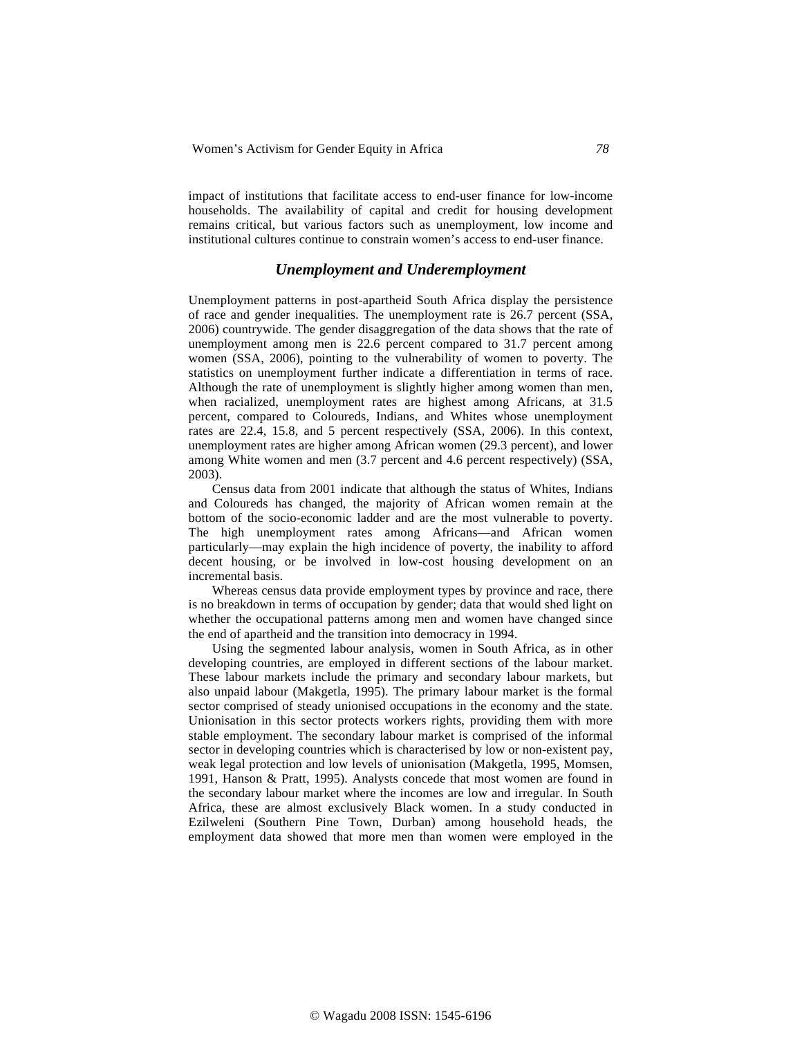impact of institutions that facilitate access to end-user finance for low-income households. The availability of capital and credit for housing development remains critical, but various factors such as unemployment, low income and institutional cultures continue to constrain women's access to end-user finance.

### *Unemployment and Underemployment*

Unemployment patterns in post-apartheid South Africa display the persistence of race and gender inequalities. The unemployment rate is 26.7 percent (SSA, 2006) countrywide. The gender disaggregation of the data shows that the rate of unemployment among men is 22.6 percent compared to 31.7 percent among women (SSA, 2006), pointing to the vulnerability of women to poverty. The statistics on unemployment further indicate a differentiation in terms of race. Although the rate of unemployment is slightly higher among women than men, when racialized, unemployment rates are highest among Africans, at 31.5 percent, compared to Coloureds, Indians, and Whites whose unemployment rates are 22.4, 15.8, and 5 percent respectively (SSA, 2006). In this context, unemployment rates are higher among African women (29.3 percent), and lower among White women and men (3.7 percent and 4.6 percent respectively) (SSA, 2003).

Census data from 2001 indicate that although the status of Whites, Indians and Coloureds has changed, the majority of African women remain at the bottom of the socio-economic ladder and are the most vulnerable to poverty. The high unemployment rates among Africans—and African women particularly—may explain the high incidence of poverty, the inability to afford decent housing, or be involved in low-cost housing development on an incremental basis.

Whereas census data provide employment types by province and race, there is no breakdown in terms of occupation by gender; data that would shed light on whether the occupational patterns among men and women have changed since the end of apartheid and the transition into democracy in 1994.

Using the segmented labour analysis, women in South Africa, as in other developing countries, are employed in different sections of the labour market. These labour markets include the primary and secondary labour markets, but also unpaid labour (Makgetla, 1995). The primary labour market is the formal sector comprised of steady unionised occupations in the economy and the state. Unionisation in this sector protects workers rights, providing them with more stable employment. The secondary labour market is comprised of the informal sector in developing countries which is characterised by low or non-existent pay, weak legal protection and low levels of unionisation (Makgetla, 1995, Momsen, 1991, Hanson & Pratt, 1995). Analysts concede that most women are found in the secondary labour market where the incomes are low and irregular. In South Africa, these are almost exclusively Black women. In a study conducted in Ezilweleni (Southern Pine Town, Durban) among household heads, the employment data showed that more men than women were employed in the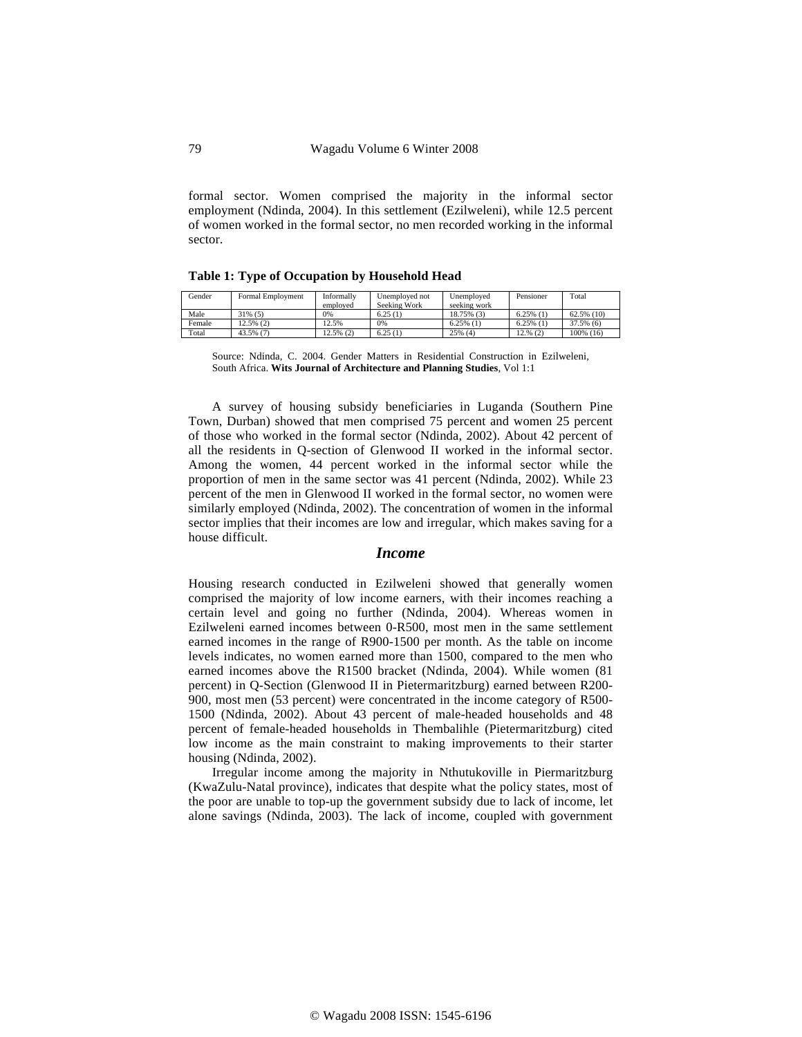formal sector. Women comprised the majority in the informal sector employment (Ndinda, 2004). In this settlement (Ezilweleni), while 12.5 percent of women worked in the formal sector, no men recorded working in the informal sector.

**Table 1: Type of Occupation by Household Head** 

| Gender | Formal Employment | Informally<br>employed | Unemployed not<br>Seeking Work | Unemploved<br>seeking work | Pensioner    | Total         |
|--------|-------------------|------------------------|--------------------------------|----------------------------|--------------|---------------|
| Male   | $31\%$ (5)        | 0%                     | 6.25(1)                        | 18.75% (3)                 | $6.25\%$ (1) | $62.5\%$ (10) |
| Female | $2.5\%$ (2)       | 12.5%                  | 0%                             | $6.25\%$ (1)               | $6.25\%$ (1) | 37.5% (6)     |
| Total  | 43.5% (7)         | $12.5\%$ (2)           | 6.25(1)                        | 25% (4)                    | $12.%$ (2)   | 100% (16)     |

Source: Ndinda, C. 2004. Gender Matters in Residential Construction in Ezilweleni, South Africa. **Wits Journal of Architecture and Planning Studies**, Vol 1:1

A survey of housing subsidy beneficiaries in Luganda (Southern Pine Town, Durban) showed that men comprised 75 percent and women 25 percent of those who worked in the formal sector (Ndinda, 2002). About 42 percent of all the residents in Q-section of Glenwood II worked in the informal sector. Among the women, 44 percent worked in the informal sector while the proportion of men in the same sector was 41 percent (Ndinda, 2002). While 23 percent of the men in Glenwood II worked in the formal sector, no women were similarly employed (Ndinda, 2002). The concentration of women in the informal sector implies that their incomes are low and irregular, which makes saving for a house difficult.

#### *Income*

Housing research conducted in Ezilweleni showed that generally women comprised the majority of low income earners, with their incomes reaching a certain level and going no further (Ndinda, 2004). Whereas women in Ezilweleni earned incomes between 0-R500, most men in the same settlement earned incomes in the range of R900-1500 per month. As the table on income levels indicates, no women earned more than 1500, compared to the men who earned incomes above the R1500 bracket (Ndinda, 2004). While women (81 percent) in Q-Section (Glenwood II in Pietermaritzburg) earned between R200- 900, most men (53 percent) were concentrated in the income category of R500- 1500 (Ndinda, 2002). About 43 percent of male-headed households and 48 percent of female-headed households in Thembalihle (Pietermaritzburg) cited low income as the main constraint to making improvements to their starter housing (Ndinda, 2002).

Irregular income among the majority in Nthutukoville in Piermaritzburg (KwaZulu-Natal province), indicates that despite what the policy states, most of the poor are unable to top-up the government subsidy due to lack of income, let alone savings (Ndinda, 2003). The lack of income, coupled with government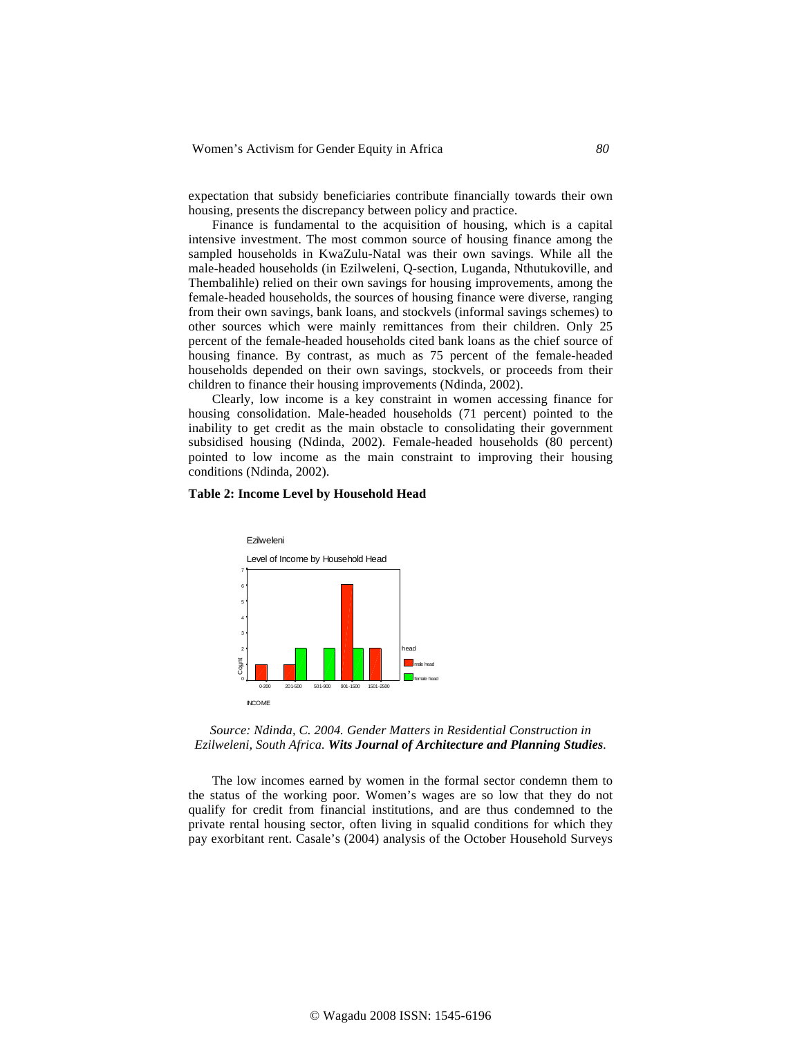expectation that subsidy beneficiaries contribute financially towards their own housing, presents the discrepancy between policy and practice.

Finance is fundamental to the acquisition of housing, which is a capital intensive investment. The most common source of housing finance among the sampled households in KwaZulu-Natal was their own savings. While all the male-headed households (in Ezilweleni, Q-section, Luganda, Nthutukoville, and Thembalihle) relied on their own savings for housing improvements, among the female-headed households, the sources of housing finance were diverse, ranging from their own savings, bank loans, and stockvels (informal savings schemes) to other sources which were mainly remittances from their children. Only 25 percent of the female-headed households cited bank loans as the chief source of housing finance. By contrast, as much as 75 percent of the female-headed households depended on their own savings, stockvels, or proceeds from their children to finance their housing improvements (Ndinda, 2002).

Clearly, low income is a key constraint in women accessing finance for housing consolidation. Male-headed households (71 percent) pointed to the inability to get credit as the main obstacle to consolidating their government subsidised housing (Ndinda, 2002). Female-headed households (80 percent) pointed to low income as the main constraint to improving their housing conditions (Ndinda, 2002).

#### **Table 2: Income Level by Household Head**



*Source: Ndinda, C. 2004. Gender Matters in Residential Construction in Ezilweleni, South Africa. Wits Journal of Architecture and Planning Studies.* 

The low incomes earned by women in the formal sector condemn them to the status of the working poor. Women's wages are so low that they do not qualify for credit from financial institutions, and are thus condemned to the private rental housing sector, often living in squalid conditions for which they pay exorbitant rent. Casale's (2004) analysis of the October Household Surveys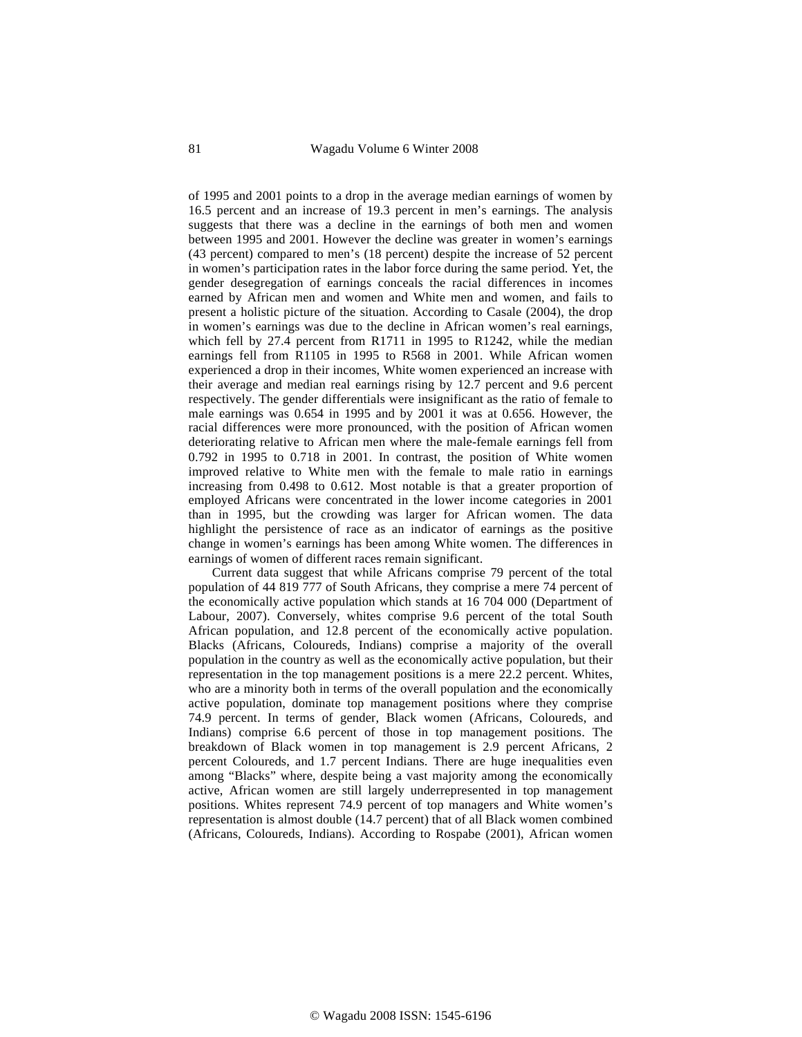of 1995 and 2001 points to a drop in the average median earnings of women by 16.5 percent and an increase of 19.3 percent in men's earnings. The analysis suggests that there was a decline in the earnings of both men and women between 1995 and 2001. However the decline was greater in women's earnings (43 percent) compared to men's (18 percent) despite the increase of 52 percent in women's participation rates in the labor force during the same period. Yet, the gender desegregation of earnings conceals the racial differences in incomes earned by African men and women and White men and women, and fails to present a holistic picture of the situation. According to Casale (2004), the drop in women's earnings was due to the decline in African women's real earnings, which fell by 27.4 percent from R1711 in 1995 to R1242, while the median earnings fell from R1105 in 1995 to R568 in 2001. While African women experienced a drop in their incomes, White women experienced an increase with their average and median real earnings rising by 12.7 percent and 9.6 percent respectively. The gender differentials were insignificant as the ratio of female to male earnings was 0.654 in 1995 and by 2001 it was at 0.656. However, the racial differences were more pronounced, with the position of African women deteriorating relative to African men where the male-female earnings fell from 0.792 in 1995 to 0.718 in 2001. In contrast, the position of White women improved relative to White men with the female to male ratio in earnings increasing from 0.498 to 0.612. Most notable is that a greater proportion of employed Africans were concentrated in the lower income categories in 2001 than in 1995, but the crowding was larger for African women. The data highlight the persistence of race as an indicator of earnings as the positive change in women's earnings has been among White women. The differences in earnings of women of different races remain significant.

Current data suggest that while Africans comprise 79 percent of the total population of 44 819 777 of South Africans, they comprise a mere 74 percent of the economically active population which stands at 16 704 000 (Department of Labour, 2007). Conversely, whites comprise 9.6 percent of the total South African population, and 12.8 percent of the economically active population. Blacks (Africans, Coloureds, Indians) comprise a majority of the overall population in the country as well as the economically active population, but their representation in the top management positions is a mere 22.2 percent. Whites, who are a minority both in terms of the overall population and the economically active population, dominate top management positions where they comprise 74.9 percent. In terms of gender, Black women (Africans, Coloureds, and Indians) comprise 6.6 percent of those in top management positions. The breakdown of Black women in top management is 2.9 percent Africans, 2 percent Coloureds, and 1.7 percent Indians. There are huge inequalities even among "Blacks" where, despite being a vast majority among the economically active, African women are still largely underrepresented in top management positions. Whites represent 74.9 percent of top managers and White women's representation is almost double (14.7 percent) that of all Black women combined (Africans, Coloureds, Indians). According to Rospabe (2001), African women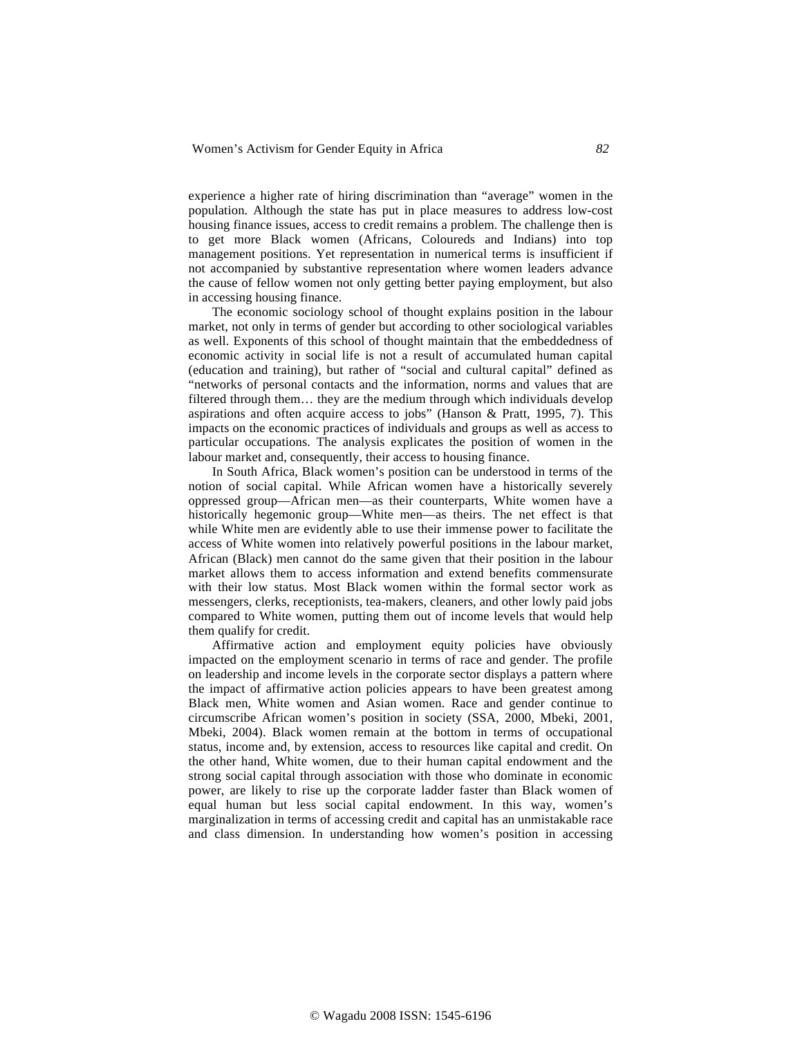experience a higher rate of hiring discrimination than "average" women in the population. Although the state has put in place measures to address low-cost housing finance issues, access to credit remains a problem. The challenge then is to get more Black women (Africans, Coloureds and Indians) into top management positions. Yet representation in numerical terms is insufficient if not accompanied by substantive representation where women leaders advance the cause of fellow women not only getting better paying employment, but also in accessing housing finance.

The economic sociology school of thought explains position in the labour market, not only in terms of gender but according to other sociological variables as well. Exponents of this school of thought maintain that the embeddedness of economic activity in social life is not a result of accumulated human capital (education and training), but rather of "social and cultural capital" defined as "networks of personal contacts and the information, norms and values that are filtered through them… they are the medium through which individuals develop aspirations and often acquire access to jobs" (Hanson & Pratt, 1995, 7). This impacts on the economic practices of individuals and groups as well as access to particular occupations. The analysis explicates the position of women in the labour market and, consequently, their access to housing finance.

In South Africa, Black women's position can be understood in terms of the notion of social capital. While African women have a historically severely oppressed group—African men—as their counterparts, White women have a historically hegemonic group—White men—as theirs. The net effect is that while White men are evidently able to use their immense power to facilitate the access of White women into relatively powerful positions in the labour market, African (Black) men cannot do the same given that their position in the labour market allows them to access information and extend benefits commensurate with their low status. Most Black women within the formal sector work as messengers, clerks, receptionists, tea-makers, cleaners, and other lowly paid jobs compared to White women, putting them out of income levels that would help them qualify for credit.

Affirmative action and employment equity policies have obviously impacted on the employment scenario in terms of race and gender. The profile on leadership and income levels in the corporate sector displays a pattern where the impact of affirmative action policies appears to have been greatest among Black men, White women and Asian women. Race and gender continue to circumscribe African women's position in society (SSA, 2000, Mbeki, 2001, Mbeki, 2004). Black women remain at the bottom in terms of occupational status, income and, by extension, access to resources like capital and credit. On the other hand, White women, due to their human capital endowment and the strong social capital through association with those who dominate in economic power, are likely to rise up the corporate ladder faster than Black women of equal human but less social capital endowment. In this way, women's marginalization in terms of accessing credit and capital has an unmistakable race and class dimension. In understanding how women's position in accessing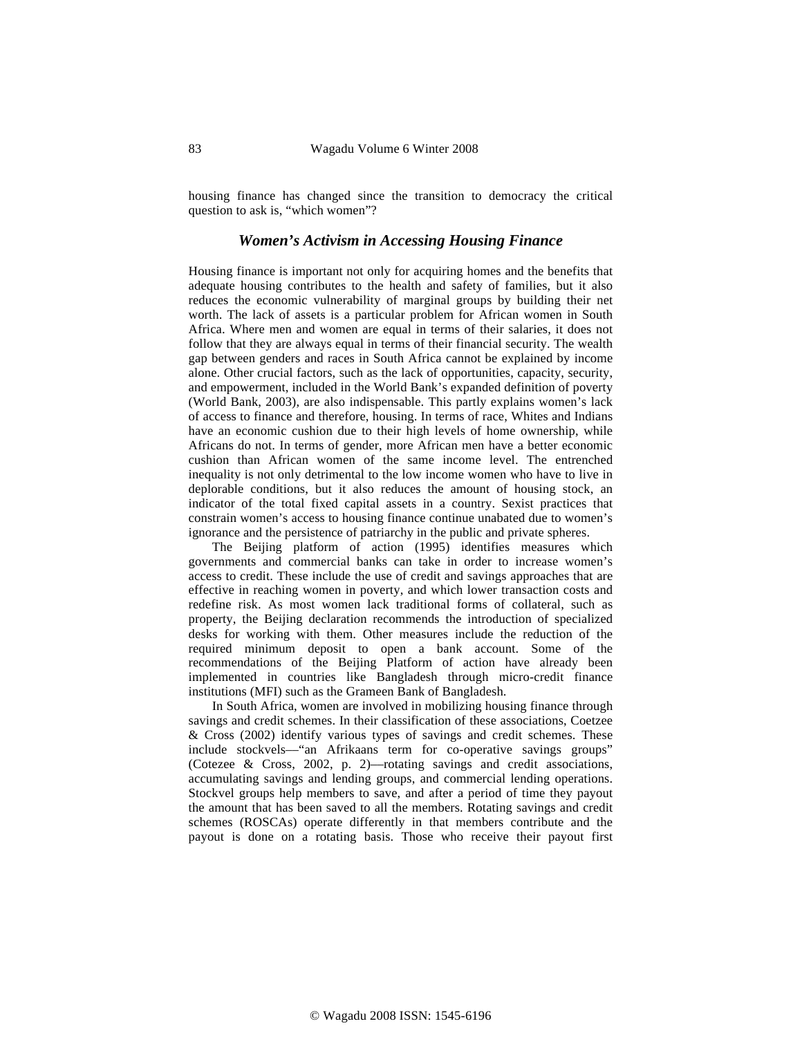housing finance has changed since the transition to democracy the critical question to ask is, "which women"?

### *Women's Activism in Accessing Housing Finance*

Housing finance is important not only for acquiring homes and the benefits that adequate housing contributes to the health and safety of families, but it also reduces the economic vulnerability of marginal groups by building their net worth. The lack of assets is a particular problem for African women in South Africa. Where men and women are equal in terms of their salaries, it does not follow that they are always equal in terms of their financial security. The wealth gap between genders and races in South Africa cannot be explained by income alone. Other crucial factors, such as the lack of opportunities, capacity, security, and empowerment, included in the World Bank's expanded definition of poverty (World Bank, 2003), are also indispensable. This partly explains women's lack of access to finance and therefore, housing. In terms of race, Whites and Indians have an economic cushion due to their high levels of home ownership, while Africans do not. In terms of gender, more African men have a better economic cushion than African women of the same income level. The entrenched inequality is not only detrimental to the low income women who have to live in deplorable conditions, but it also reduces the amount of housing stock, an indicator of the total fixed capital assets in a country. Sexist practices that constrain women's access to housing finance continue unabated due to women's ignorance and the persistence of patriarchy in the public and private spheres.

The Beijing platform of action (1995) identifies measures which governments and commercial banks can take in order to increase women's access to credit. These include the use of credit and savings approaches that are effective in reaching women in poverty, and which lower transaction costs and redefine risk. As most women lack traditional forms of collateral, such as property, the Beijing declaration recommends the introduction of specialized desks for working with them. Other measures include the reduction of the required minimum deposit to open a bank account. Some of the recommendations of the Beijing Platform of action have already been implemented in countries like Bangladesh through micro-credit finance institutions (MFI) such as the Grameen Bank of Bangladesh.

In South Africa, women are involved in mobilizing housing finance through savings and credit schemes. In their classification of these associations, Coetzee & Cross (2002) identify various types of savings and credit schemes. These include stockvels––"an Afrikaans term for co-operative savings groups" (Cotezee & Cross, 2002, p. 2)––rotating savings and credit associations, accumulating savings and lending groups, and commercial lending operations. Stockvel groups help members to save, and after a period of time they payout the amount that has been saved to all the members. Rotating savings and credit schemes (ROSCAs) operate differently in that members contribute and the payout is done on a rotating basis. Those who receive their payout first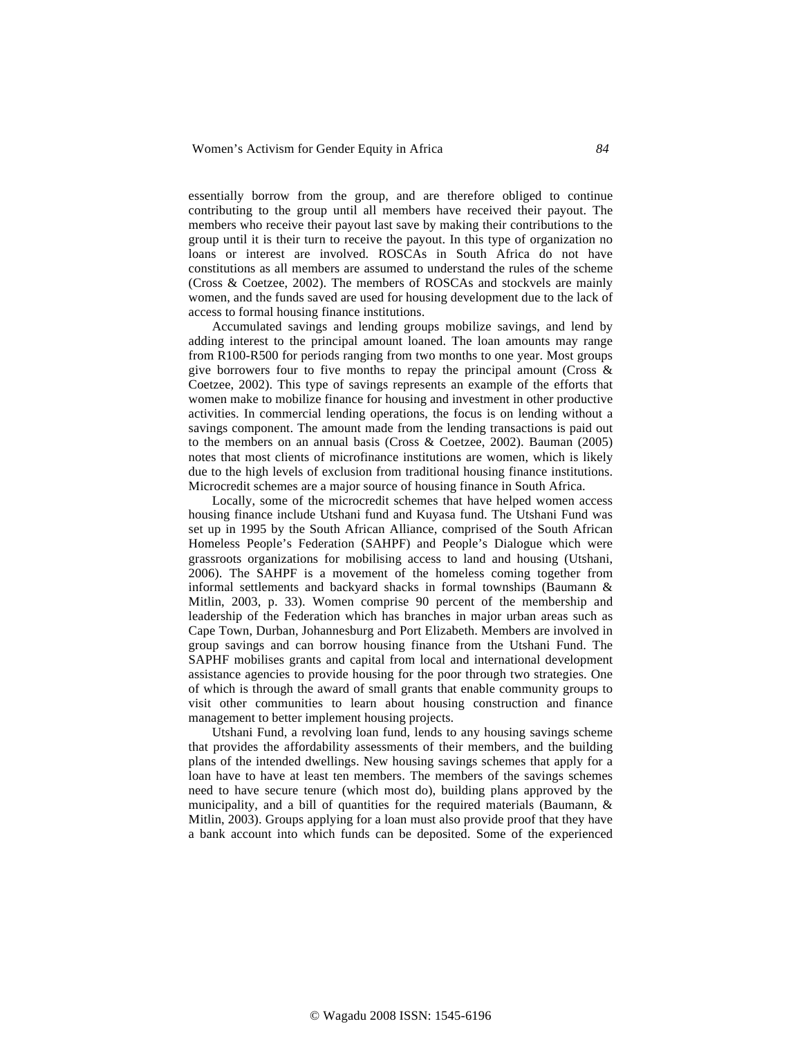essentially borrow from the group, and are therefore obliged to continue contributing to the group until all members have received their payout. The members who receive their payout last save by making their contributions to the group until it is their turn to receive the payout. In this type of organization no loans or interest are involved. ROSCAs in South Africa do not have constitutions as all members are assumed to understand the rules of the scheme (Cross & Coetzee, 2002). The members of ROSCAs and stockvels are mainly women, and the funds saved are used for housing development due to the lack of access to formal housing finance institutions.

Accumulated savings and lending groups mobilize savings, and lend by adding interest to the principal amount loaned. The loan amounts may range from R100-R500 for periods ranging from two months to one year. Most groups give borrowers four to five months to repay the principal amount (Cross  $\&$ Coetzee, 2002). This type of savings represents an example of the efforts that women make to mobilize finance for housing and investment in other productive activities. In commercial lending operations, the focus is on lending without a savings component. The amount made from the lending transactions is paid out to the members on an annual basis (Cross & Coetzee, 2002). Bauman (2005) notes that most clients of microfinance institutions are women, which is likely due to the high levels of exclusion from traditional housing finance institutions. Microcredit schemes are a major source of housing finance in South Africa.

Locally, some of the microcredit schemes that have helped women access housing finance include Utshani fund and Kuyasa fund. The Utshani Fund was set up in 1995 by the South African Alliance, comprised of the South African Homeless People's Federation (SAHPF) and People's Dialogue which were grassroots organizations for mobilising access to land and housing (Utshani, 2006). The SAHPF is a movement of the homeless coming together from informal settlements and backyard shacks in formal townships (Baumann & Mitlin, 2003, p. 33). Women comprise 90 percent of the membership and leadership of the Federation which has branches in major urban areas such as Cape Town, Durban, Johannesburg and Port Elizabeth. Members are involved in group savings and can borrow housing finance from the Utshani Fund. The SAPHF mobilises grants and capital from local and international development assistance agencies to provide housing for the poor through two strategies. One of which is through the award of small grants that enable community groups to visit other communities to learn about housing construction and finance management to better implement housing projects.

Utshani Fund, a revolving loan fund, lends to any housing savings scheme that provides the affordability assessments of their members, and the building plans of the intended dwellings. New housing savings schemes that apply for a loan have to have at least ten members. The members of the savings schemes need to have secure tenure (which most do), building plans approved by the municipality, and a bill of quantities for the required materials (Baumann, & Mitlin, 2003). Groups applying for a loan must also provide proof that they have a bank account into which funds can be deposited. Some of the experienced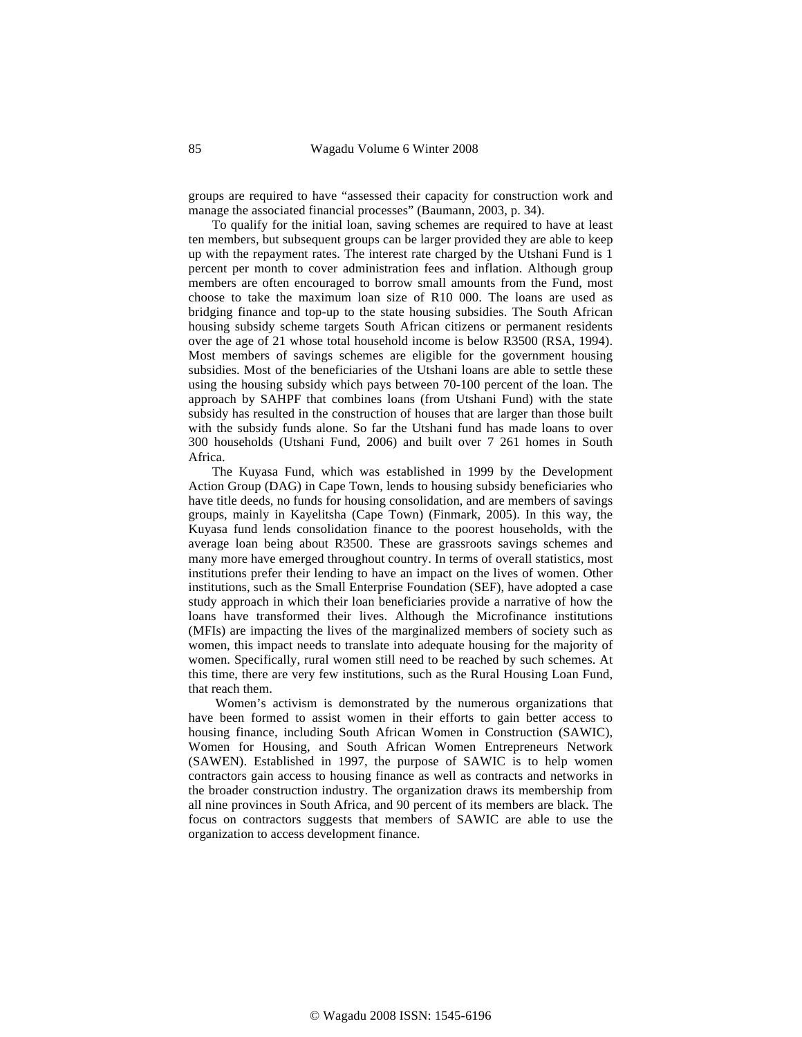groups are required to have "assessed their capacity for construction work and manage the associated financial processes" (Baumann, 2003, p. 34).

To qualify for the initial loan, saving schemes are required to have at least ten members, but subsequent groups can be larger provided they are able to keep up with the repayment rates. The interest rate charged by the Utshani Fund is 1 percent per month to cover administration fees and inflation. Although group members are often encouraged to borrow small amounts from the Fund, most choose to take the maximum loan size of R10 000. The loans are used as bridging finance and top-up to the state housing subsidies. The South African housing subsidy scheme targets South African citizens or permanent residents over the age of 21 whose total household income is below R3500 (RSA, 1994). Most members of savings schemes are eligible for the government housing subsidies. Most of the beneficiaries of the Utshani loans are able to settle these using the housing subsidy which pays between 70-100 percent of the loan. The approach by SAHPF that combines loans (from Utshani Fund) with the state subsidy has resulted in the construction of houses that are larger than those built with the subsidy funds alone. So far the Utshani fund has made loans to over 300 households (Utshani Fund, 2006) and built over 7 261 homes in South Africa.

The Kuyasa Fund, which was established in 1999 by the Development Action Group (DAG) in Cape Town, lends to housing subsidy beneficiaries who have title deeds, no funds for housing consolidation, and are members of savings groups, mainly in Kayelitsha (Cape Town) (Finmark, 2005). In this way, the Kuyasa fund lends consolidation finance to the poorest households, with the average loan being about R3500. These are grassroots savings schemes and many more have emerged throughout country. In terms of overall statistics, most institutions prefer their lending to have an impact on the lives of women. Other institutions, such as the Small Enterprise Foundation (SEF), have adopted a case study approach in which their loan beneficiaries provide a narrative of how the loans have transformed their lives. Although the Microfinance institutions (MFIs) are impacting the lives of the marginalized members of society such as women, this impact needs to translate into adequate housing for the majority of women. Specifically, rural women still need to be reached by such schemes. At this time, there are very few institutions, such as the Rural Housing Loan Fund, that reach them.

 Women's activism is demonstrated by the numerous organizations that have been formed to assist women in their efforts to gain better access to housing finance, including South African Women in Construction (SAWIC), Women for Housing, and South African Women Entrepreneurs Network (SAWEN). Established in 1997, the purpose of SAWIC is to help women contractors gain access to housing finance as well as contracts and networks in the broader construction industry. The organization draws its membership from all nine provinces in South Africa, and 90 percent of its members are black. The focus on contractors suggests that members of SAWIC are able to use the organization to access development finance.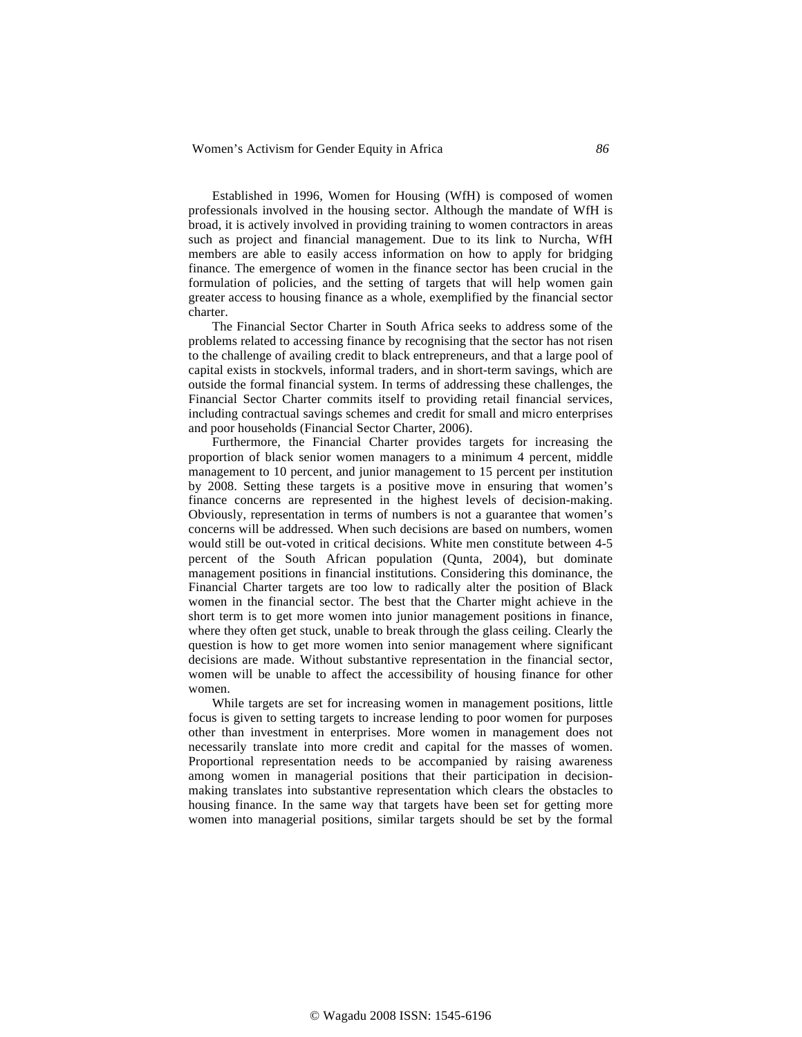Established in 1996, Women for Housing (WfH) is composed of women professionals involved in the housing sector. Although the mandate of WfH is broad, it is actively involved in providing training to women contractors in areas such as project and financial management. Due to its link to Nurcha, WfH members are able to easily access information on how to apply for bridging finance. The emergence of women in the finance sector has been crucial in the formulation of policies, and the setting of targets that will help women gain greater access to housing finance as a whole, exemplified by the financial sector charter.

The Financial Sector Charter in South Africa seeks to address some of the problems related to accessing finance by recognising that the sector has not risen to the challenge of availing credit to black entrepreneurs, and that a large pool of capital exists in stockvels, informal traders, and in short-term savings, which are outside the formal financial system. In terms of addressing these challenges, the Financial Sector Charter commits itself to providing retail financial services, including contractual savings schemes and credit for small and micro enterprises and poor households (Financial Sector Charter, 2006).

Furthermore, the Financial Charter provides targets for increasing the proportion of black senior women managers to a minimum 4 percent, middle management to 10 percent, and junior management to 15 percent per institution by 2008. Setting these targets is a positive move in ensuring that women's finance concerns are represented in the highest levels of decision-making. Obviously, representation in terms of numbers is not a guarantee that women's concerns will be addressed. When such decisions are based on numbers, women would still be out-voted in critical decisions. White men constitute between 4-5 percent of the South African population (Qunta, 2004), but dominate management positions in financial institutions. Considering this dominance, the Financial Charter targets are too low to radically alter the position of Black women in the financial sector. The best that the Charter might achieve in the short term is to get more women into junior management positions in finance, where they often get stuck, unable to break through the glass ceiling. Clearly the question is how to get more women into senior management where significant decisions are made. Without substantive representation in the financial sector, women will be unable to affect the accessibility of housing finance for other women.

While targets are set for increasing women in management positions, little focus is given to setting targets to increase lending to poor women for purposes other than investment in enterprises. More women in management does not necessarily translate into more credit and capital for the masses of women. Proportional representation needs to be accompanied by raising awareness among women in managerial positions that their participation in decisionmaking translates into substantive representation which clears the obstacles to housing finance. In the same way that targets have been set for getting more women into managerial positions, similar targets should be set by the formal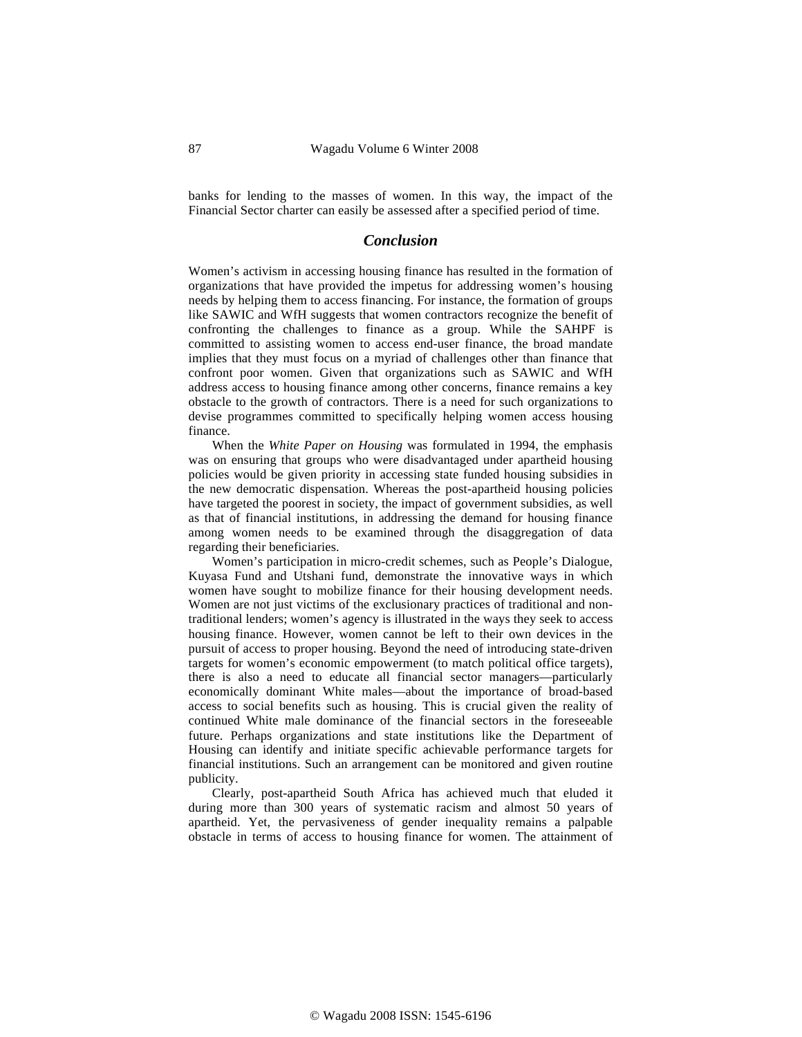banks for lending to the masses of women. In this way, the impact of the Financial Sector charter can easily be assessed after a specified period of time.

### *Conclusion*

Women's activism in accessing housing finance has resulted in the formation of organizations that have provided the impetus for addressing women's housing needs by helping them to access financing. For instance, the formation of groups like SAWIC and WfH suggests that women contractors recognize the benefit of confronting the challenges to finance as a group. While the SAHPF is committed to assisting women to access end-user finance, the broad mandate implies that they must focus on a myriad of challenges other than finance that confront poor women. Given that organizations such as SAWIC and WfH address access to housing finance among other concerns, finance remains a key obstacle to the growth of contractors. There is a need for such organizations to devise programmes committed to specifically helping women access housing finance.

When the *White Paper on Housing* was formulated in 1994, the emphasis was on ensuring that groups who were disadvantaged under apartheid housing policies would be given priority in accessing state funded housing subsidies in the new democratic dispensation. Whereas the post-apartheid housing policies have targeted the poorest in society, the impact of government subsidies, as well as that of financial institutions, in addressing the demand for housing finance among women needs to be examined through the disaggregation of data regarding their beneficiaries.

Women's participation in micro-credit schemes, such as People's Dialogue, Kuyasa Fund and Utshani fund, demonstrate the innovative ways in which women have sought to mobilize finance for their housing development needs. Women are not just victims of the exclusionary practices of traditional and nontraditional lenders; women's agency is illustrated in the ways they seek to access housing finance. However, women cannot be left to their own devices in the pursuit of access to proper housing. Beyond the need of introducing state-driven targets for women's economic empowerment (to match political office targets), there is also a need to educate all financial sector managers––particularly economically dominant White males––about the importance of broad-based access to social benefits such as housing. This is crucial given the reality of continued White male dominance of the financial sectors in the foreseeable future. Perhaps organizations and state institutions like the Department of Housing can identify and initiate specific achievable performance targets for financial institutions. Such an arrangement can be monitored and given routine publicity.

Clearly, post-apartheid South Africa has achieved much that eluded it during more than 300 years of systematic racism and almost 50 years of apartheid. Yet, the pervasiveness of gender inequality remains a palpable obstacle in terms of access to housing finance for women. The attainment of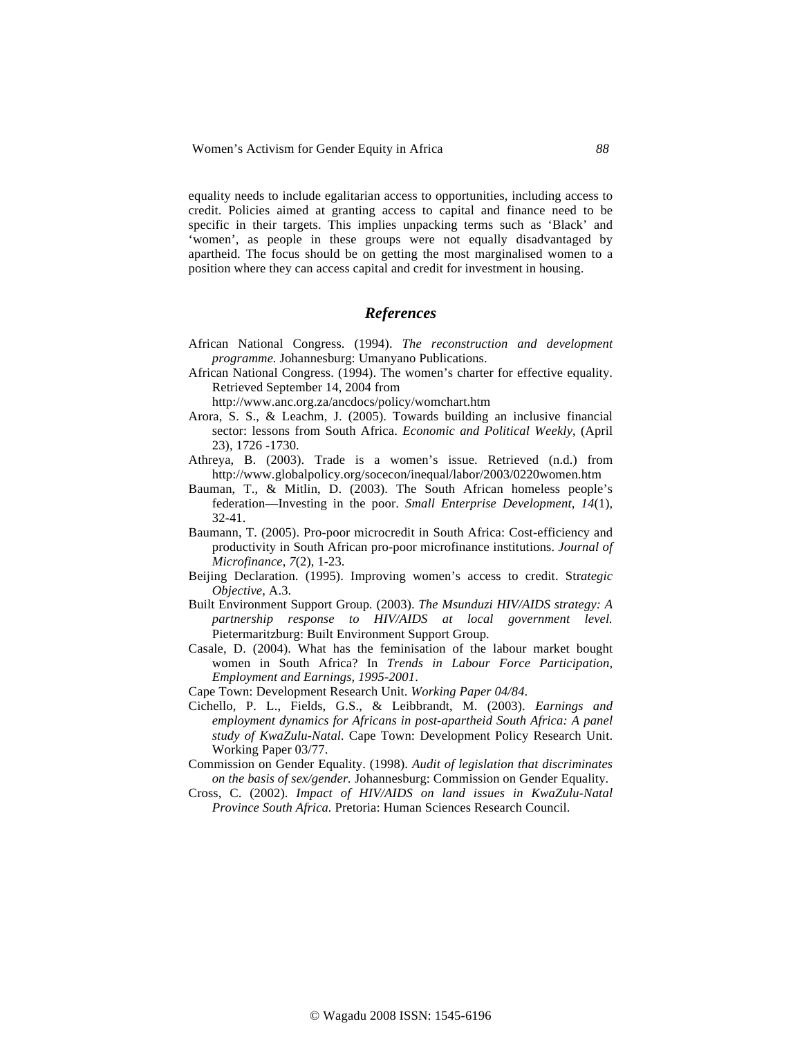equality needs to include egalitarian access to opportunities, including access to credit. Policies aimed at granting access to capital and finance need to be specific in their targets. This implies unpacking terms such as 'Black' and 'women', as people in these groups were not equally disadvantaged by apartheid. The focus should be on getting the most marginalised women to a position where they can access capital and credit for investment in housing.

# *References*

- African National Congress. (1994). *The reconstruction and development programme.* Johannesburg: Umanyano Publications.
- African National Congress. (1994). The women's charter for effective equality. Retrieved September 14, 2004 from

http://www.anc.org.za/ancdocs/policy/womchart.htm

- Arora, S. S., & Leachm, J. (2005). Towards building an inclusive financial sector: lessons from South Africa. *Economic and Political Weekly*, (April 23), 1726 -1730.
- Athreya, B. (2003). Trade is a women's issue. Retrieved (n.d.) from http://www.globalpolicy.org/socecon/inequal/labor/2003/0220women.htm
- Bauman, T., & Mitlin, D. (2003). The South African homeless people's federation—Investing in the poor. *Small Enterprise Development, 14*(1), 32-41.
- Baumann, T. (2005). Pro-poor microcredit in South Africa: Cost-efficiency and productivity in South African pro-poor microfinance institutions. *Journal of Microfinance*, *7*(2), 1-23.
- Beijing Declaration. (1995). Improving women's access to credit. Str*ategic Objective*, A.3.
- Built Environment Support Group*.* (2003). *The Msunduzi HIV/AIDS strategy: A partnership response to HIV/AIDS at local government level.*  Pietermaritzburg: Built Environment Support Group.
- Casale, D. (2004). What has the feminisation of the labour market bought women in South Africa? In *Trends in Labour Force Participation, Employment and Earnings, 1995-2001*.
- Cape Town: Development Research Unit. *Working Paper 04/84*.
- Cichello, P. L., Fields, G.S., & Leibbrandt, M. (2003). *Earnings and employment dynamics for Africans in post-apartheid South Africa: A panel study of KwaZulu-Natal.* Cape Town: Development Policy Research Unit. Working Paper 03/77.
- Commission on Gender Equality. (1998). *Audit of legislation that discriminates on the basis of sex/gender.* Johannesburg: Commission on Gender Equality.
- Cross, C. (2002). *Impact of HIV/AIDS on land issues in KwaZulu-Natal Province South Africa.* Pretoria: Human Sciences Research Council.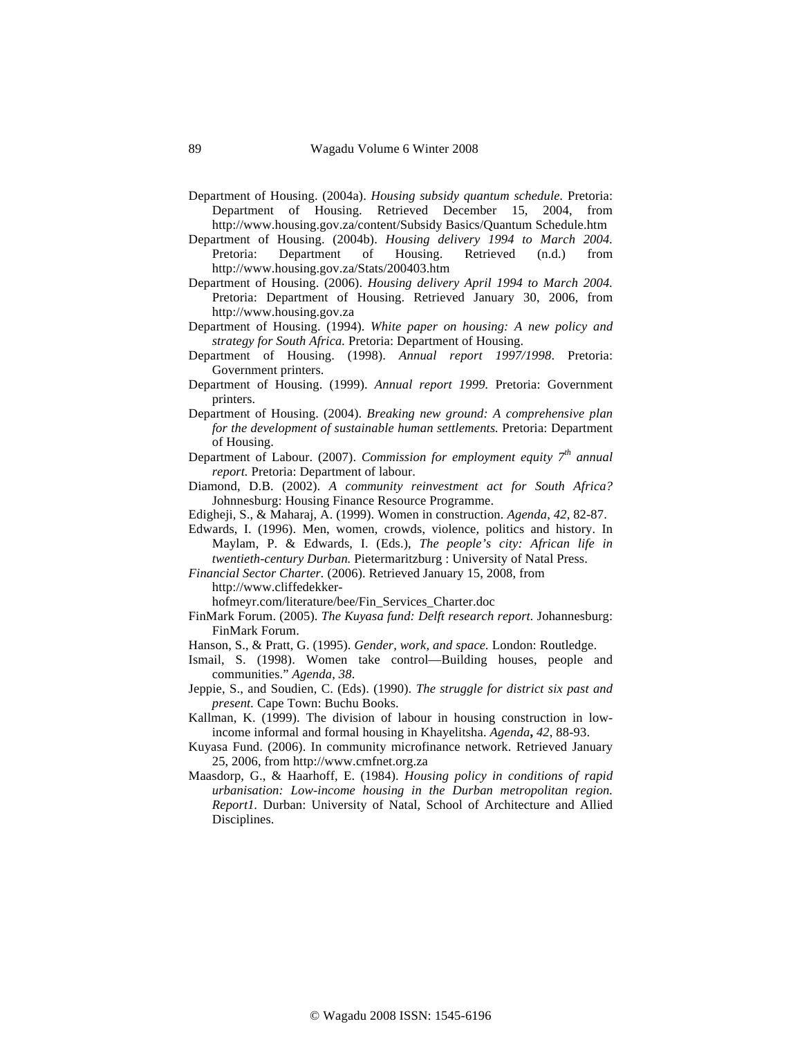- Department of Housing. (2004a). *Housing subsidy quantum schedule.* Pretoria: Department of Housing. Retrieved December 15, 2004, from http://www.housing.gov.za/content/Subsidy Basics/Quantum Schedule.htm
- Department of Housing. (2004b). *Housing delivery 1994 to March 2004.*  Pretoria: Department of Housing. Retrieved (n.d.) from http://www.housing.gov.za/Stats/200403.htm
- Department of Housing. (2006). *Housing delivery April 1994 to March 2004.*  Pretoria: Department of Housing. Retrieved January 30, 2006, from http://www.housing.gov.za
- Department of Housing. (1994). *White paper on housing: A new policy and strategy for South Africa.* Pretoria: Department of Housing.
- Department of Housing. (1998). *Annual report 1997/1998*. Pretoria: Government printers.
- Department of Housing. (1999). *Annual report 1999.* Pretoria: Government printers.
- Department of Housing. (2004). *Breaking new ground: A comprehensive plan for the development of sustainable human settlements.* Pretoria: Department of Housing.
- Department of Labour. (2007). *Commission for employment equity 7th annual report.* Pretoria: Department of labour.
- Diamond, D.B. (2002). *A community reinvestment act for South Africa?* Johnnesburg: Housing Finance Resource Programme.
- Edigheji, S., & Maharaj, A. (1999). Women in construction. *Agenda*, *42*, 82-87.
- Edwards, I. (1996). Men, women, crowds, violence, politics and history. In Maylam, P. & Edwards, I. (Eds.), *The people's city: African life in twentieth-century Durban.* Pietermaritzburg : University of Natal Press.
- *Financial Sector Charter.* (2006). Retrieved January 15, 2008, from

http://www.cliffedekker-

hofmeyr.com/literature/bee/Fin\_Services\_Charter.doc

- FinMark Forum. (2005). *The Kuyasa fund: Delft research report.* Johannesburg: FinMark Forum.
- Hanson, S., & Pratt, G. (1995). *Gender, work, and space.* London: Routledge.
- Ismail, S. (1998). Women take control—Building houses, people and communities." *Agenda*, *38*.
- Jeppie, S., and Soudien, C. (Eds). (1990). *The struggle for district six past and present.* Cape Town: Buchu Books.
- Kallman, K. (1999). The division of labour in housing construction in lowincome informal and formal housing in Khayelitsha. *Agenda***,** *42*, 88-93.
- Kuyasa Fund. (2006). In community microfinance network. Retrieved January 25, 2006, from http://www.cmfnet.org.za
- Maasdorp, G., & Haarhoff, E. (1984). *Housing policy in conditions of rapid urbanisation: Low-income housing in the Durban metropolitan region. Report1.* Durban: University of Natal, School of Architecture and Allied Disciplines.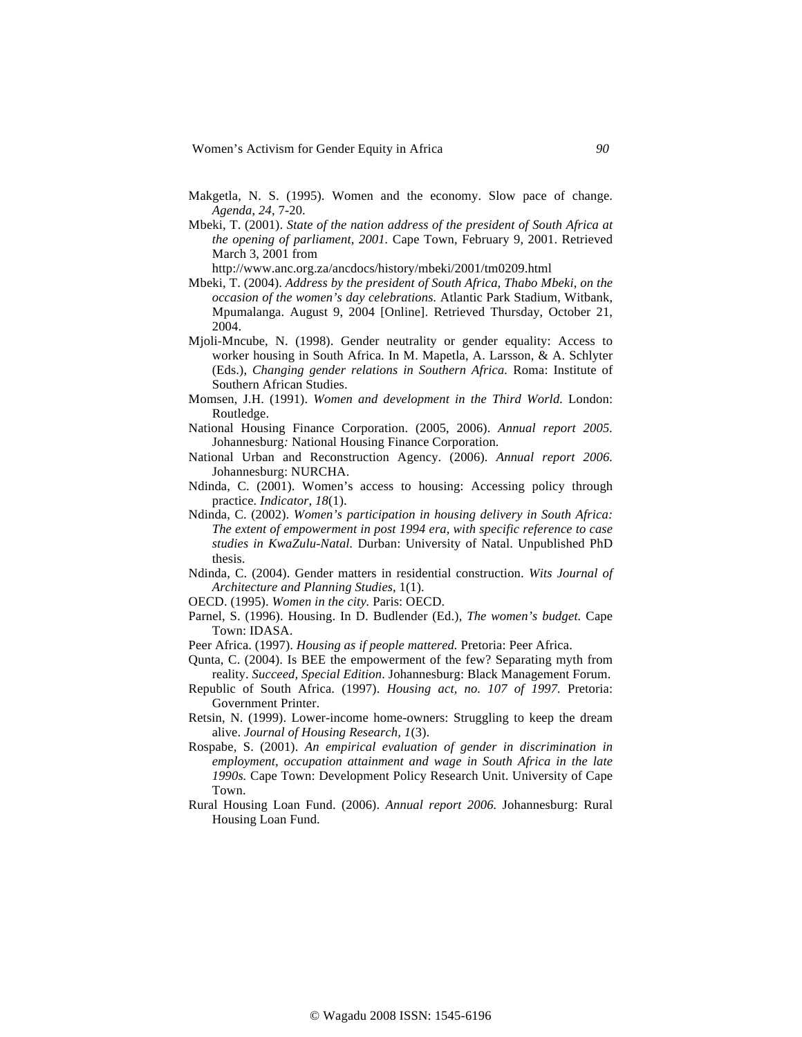- Makgetla, N. S. (1995). Women and the economy. Slow pace of change. *Agenda*, *24*, 7-20.
- Mbeki, T. (2001). *State of the nation address of the president of South Africa at the opening of parliament, 2001.* Cape Town, February 9, 2001. Retrieved March 3, 2001 from

http://www.anc.org.za/ancdocs/history/mbeki/2001/tm0209.html

- Mbeki, T. (2004). *Address by the president of South Africa, Thabo Mbeki, on the occasion of the women's day celebrations.* Atlantic Park Stadium, Witbank, Mpumalanga. August 9, 2004 [Online]. Retrieved Thursday, October 21, 2004.
- Mjoli-Mncube, N. (1998). Gender neutrality or gender equality: Access to worker housing in South Africa. In M. Mapetla, A. Larsson, & A. Schlyter (Eds.), *Changing gender relations in Southern Africa.* Roma: Institute of Southern African Studies.
- Momsen, J.H. (1991). *Women and development in the Third World.* London: Routledge.
- National Housing Finance Corporation. (2005, 2006). *Annual report 2005.*  Johannesburg*:* National Housing Finance Corporation.
- National Urban and Reconstruction Agency. (2006). *Annual report 2006.*  Johannesburg: NURCHA.
- Ndinda, C. (2001). Women's access to housing: Accessing policy through practice. *Indicator*, *18*(1).
- Ndinda, C. (2002). *Women's participation in housing delivery in South Africa: The extent of empowerment in post 1994 era, with specific reference to case studies in KwaZulu-Natal.* Durban: University of Natal. Unpublished PhD thesis.
- Ndinda, C. (2004). Gender matters in residential construction. *Wits Journal of Architecture and Planning Studies*, 1(1).
- OECD. (1995). *Women in the city.* Paris: OECD.
- Parnel, S. (1996). Housing. In D. Budlender (Ed.), *The women's budget.* Cape Town: IDASA.
- Peer Africa. (1997). *Housing as if people mattered.* Pretoria: Peer Africa.
- Qunta, C. (2004). Is BEE the empowerment of the few? Separating myth from reality. *Succeed, Special Edition*. Johannesburg: Black Management Forum.
- Republic of South Africa. (1997). *Housing act, no. 107 of 1997.* Pretoria: Government Printer.
- Retsin, N. (1999). Lower-income home-owners: Struggling to keep the dream alive. *Journal of Housing Research, 1*(3).
- Rospabe, S. (2001). *An empirical evaluation of gender in discrimination in employment, occupation attainment and wage in South Africa in the late 1990s.* Cape Town: Development Policy Research Unit. University of Cape Town.
- Rural Housing Loan Fund. (2006). *Annual report 2006.* Johannesburg: Rural Housing Loan Fund.